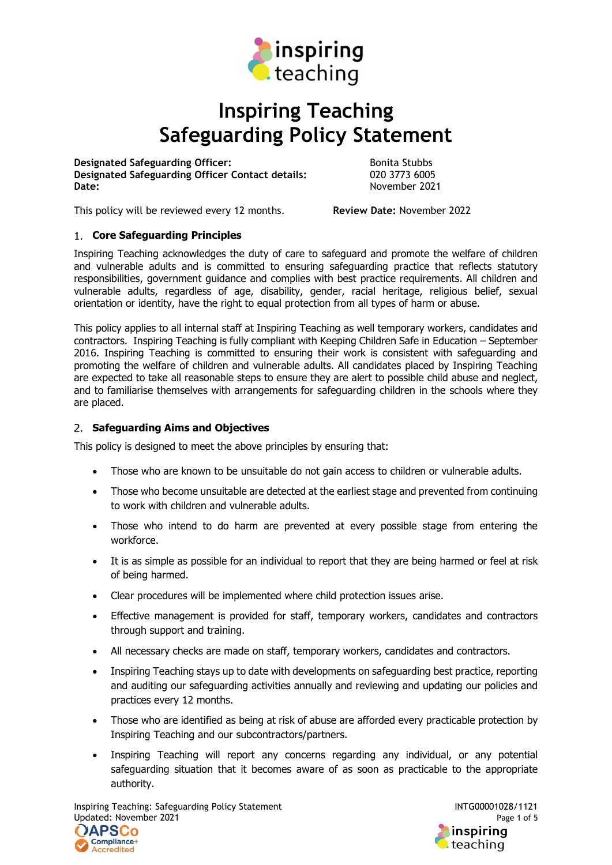

# Inspiring Teaching Safeguarding Policy Statement

Designated Safeguarding Officer:<br>
Designated Safeguarding Officer Contact details: (a) 020 3773 6005 Designated Safeguarding Officer Contact details: Date: November 2021

This policy will be reviewed every 12 months. Review Date: November 2022

## 1. Core Safeguarding Principles

Inspiring Teaching acknowledges the duty of care to safeguard and promote the welfare of children and vulnerable adults and is committed to ensuring safeguarding practice that reflects statutory responsibilities, government guidance and complies with best practice requirements. All children and vulnerable adults, regardless of age, disability, gender, racial heritage, religious belief, sexual orientation or identity, have the right to equal protection from all types of harm or abuse.

This policy applies to all internal staff at Inspiring Teaching as well temporary workers, candidates and contractors. Inspiring Teaching is fully compliant with Keeping Children Safe in Education – September 2016. Inspiring Teaching is committed to ensuring their work is consistent with safeguarding and promoting the welfare of children and vulnerable adults. All candidates placed by Inspiring Teaching are expected to take all reasonable steps to ensure they are alert to possible child abuse and neglect, and to familiarise themselves with arrangements for safeguarding children in the schools where they are placed.

### 2. Safeguarding Aims and Objectives

This policy is designed to meet the above principles by ensuring that:

- Those who are known to be unsuitable do not gain access to children or vulnerable adults.
- Those who become unsuitable are detected at the earliest stage and prevented from continuing to work with children and vulnerable adults.
- Those who intend to do harm are prevented at every possible stage from entering the workforce.
- It is as simple as possible for an individual to report that they are being harmed or feel at risk of being harmed.
- Clear procedures will be implemented where child protection issues arise.
- Effective management is provided for staff, temporary workers, candidates and contractors through support and training.
- All necessary checks are made on staff, temporary workers, candidates and contractors.
- Inspiring Teaching stays up to date with developments on safeguarding best practice, reporting and auditing our safeguarding activities annually and reviewing and updating our policies and practices every 12 months.
- Those who are identified as being at risk of abuse are afforded every practicable protection by Inspiring Teaching and our subcontractors/partners.
- Inspiring Teaching will report any concerns regarding any individual, or any potential safeguarding situation that it becomes aware of as soon as practicable to the appropriate authority.

Inspiring Teaching: Safeguarding Policy Statement **INTG00001028/1121** Updated: November 2021 Page 1 of 5



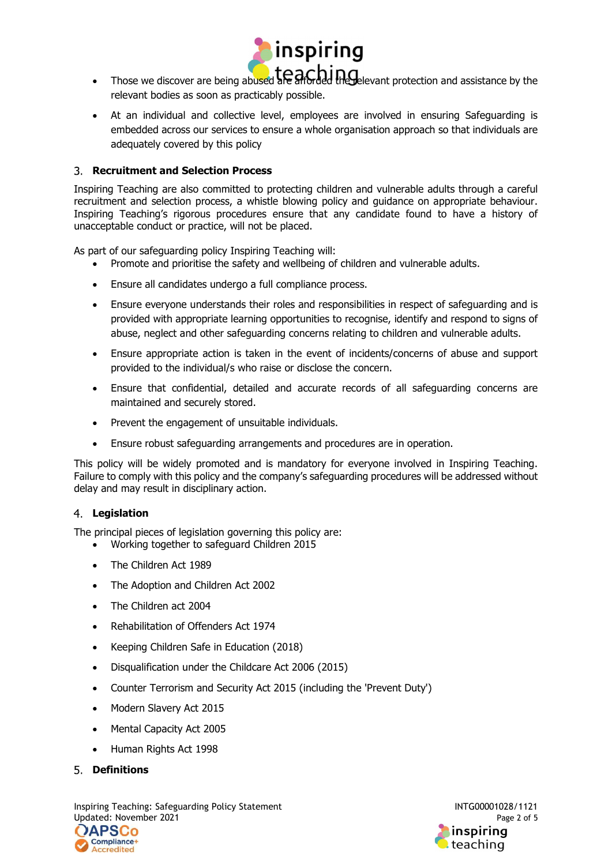

- $\cdot$  Those we discover are being abused are afforded the relevant protection and assistance by the relevant bodies as soon as practicably possible.
- At an individual and collective level, employees are involved in ensuring Safeguarding is embedded across our services to ensure a whole organisation approach so that individuals are adequately covered by this policy

## Recruitment and Selection Process

Inspiring Teaching are also committed to protecting children and vulnerable adults through a careful recruitment and selection process, a whistle blowing policy and guidance on appropriate behaviour. Inspiring Teaching's rigorous procedures ensure that any candidate found to have a history of unacceptable conduct or practice, will not be placed.

As part of our safeguarding policy Inspiring Teaching will:

- Promote and prioritise the safety and wellbeing of children and vulnerable adults.
- Ensure all candidates undergo a full compliance process.
- Ensure everyone understands their roles and responsibilities in respect of safeguarding and is provided with appropriate learning opportunities to recognise, identify and respond to signs of abuse, neglect and other safeguarding concerns relating to children and vulnerable adults.
- Ensure appropriate action is taken in the event of incidents/concerns of abuse and support provided to the individual/s who raise or disclose the concern.
- Ensure that confidential, detailed and accurate records of all safeguarding concerns are maintained and securely stored.
- Prevent the engagement of unsuitable individuals.
- Ensure robust safeguarding arrangements and procedures are in operation.

This policy will be widely promoted and is mandatory for everyone involved in Inspiring Teaching. Failure to comply with this policy and the company's safeguarding procedures will be addressed without delay and may result in disciplinary action.

### 4. Legislation

The principal pieces of legislation governing this policy are:

- Working together to safeguard Children 2015
- The Children Act 1989
- The Adoption and Children Act 2002
- The Children act 2004
- Rehabilitation of Offenders Act 1974
- Keeping Children Safe in Education (2018)
- Disqualification under the Childcare Act 2006 (2015)
- Counter Terrorism and Security Act 2015 (including the 'Prevent Duty')
- Modern Slavery Act 2015
- Mental Capacity Act 2005
- Human Rights Act 1998
- 5. Definitions

Inspiring Teaching: Safeguarding Policy Statement INTG00001028/1121 Updated: November 2021 Page 2 of 5



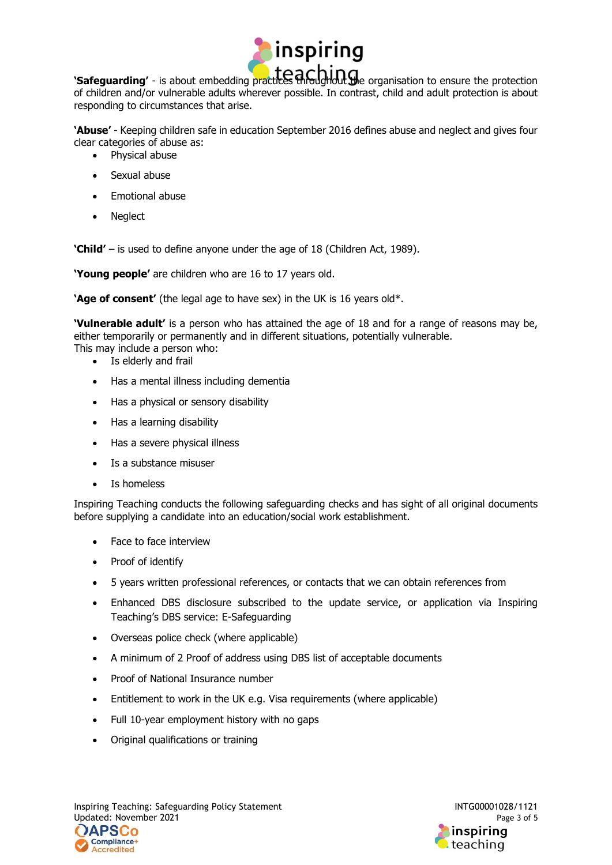

'Safeguarding' - is about embedding practices throughout the organisation to ensure the protection of children and/or vulnerable adults wherever possible. In contrast, child and adult protection is about responding to circumstances that arise.

'Abuse' - Keeping children safe in education September 2016 defines abuse and neglect and gives four clear categories of abuse as:

- Physical abuse
- Sexual abuse
- Emotional abuse
- Neglect

'Child' – is used to define anyone under the age of 18 (Children Act, 1989).

'Young people' are children who are 16 to 17 years old.

'Age of consent' (the legal age to have sex) in the UK is 16 years old\*.

'Vulnerable adult' is a person who has attained the age of 18 and for a range of reasons may be, either temporarily or permanently and in different situations, potentially vulnerable. This may include a person who:

- Is elderly and frail
- Has a mental illness including dementia
- Has a physical or sensory disability
- Has a learning disability
- Has a severe physical illness
- Is a substance misuser
- Is homeless

Inspiring Teaching conducts the following safeguarding checks and has sight of all original documents before supplying a candidate into an education/social work establishment.

- Face to face interview
- Proof of identify
- 5 years written professional references, or contacts that we can obtain references from
- Enhanced DBS disclosure subscribed to the update service, or application via Inspiring Teaching's DBS service: E-Safeguarding
- Overseas police check (where applicable)
- A minimum of 2 Proof of address using DBS list of acceptable documents
- Proof of National Insurance number
- Entitlement to work in the UK e.g. Visa requirements (where applicable)
- Full 10-year employment history with no gaps
- Original qualifications or training



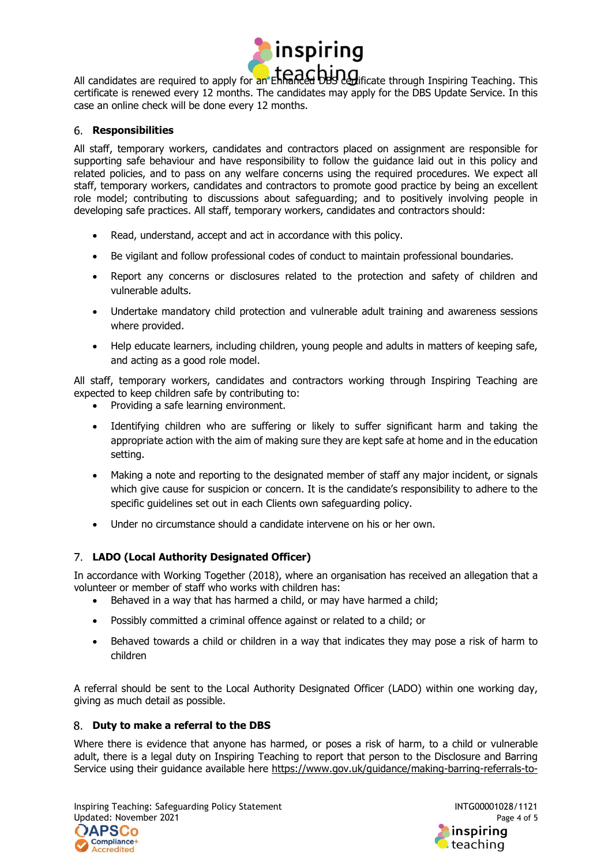

All candidates are required to apply for an Enhanced DBS certificate through Inspiring Teaching. This certificate is renewed every 12 months. The candidates may apply for the DBS Update Service. In this case an online check will be done every 12 months.

#### 6. Responsibilities

All staff, temporary workers, candidates and contractors placed on assignment are responsible for supporting safe behaviour and have responsibility to follow the guidance laid out in this policy and related policies, and to pass on any welfare concerns using the required procedures. We expect all staff, temporary workers, candidates and contractors to promote good practice by being an excellent role model; contributing to discussions about safeguarding; and to positively involving people in developing safe practices. All staff, temporary workers, candidates and contractors should:

- Read, understand, accept and act in accordance with this policy.
- Be vigilant and follow professional codes of conduct to maintain professional boundaries.
- Report any concerns or disclosures related to the protection and safety of children and vulnerable adults.
- Undertake mandatory child protection and vulnerable adult training and awareness sessions where provided.
- Help educate learners, including children, young people and adults in matters of keeping safe, and acting as a good role model.

All staff, temporary workers, candidates and contractors working through Inspiring Teaching are expected to keep children safe by contributing to:

- Providing a safe learning environment.
- Identifying children who are suffering or likely to suffer significant harm and taking the appropriate action with the aim of making sure they are kept safe at home and in the education setting.
- Making a note and reporting to the designated member of staff any major incident, or signals which give cause for suspicion or concern. It is the candidate's responsibility to adhere to the specific guidelines set out in each Clients own safeguarding policy.
- Under no circumstance should a candidate intervene on his or her own.

### LADO (Local Authority Designated Officer)

In accordance with Working Together (2018), where an organisation has received an allegation that a volunteer or member of staff who works with children has:

- Behaved in a way that has harmed a child, or may have harmed a child;
- Possibly committed a criminal offence against or related to a child; or
- Behaved towards a child or children in a way that indicates they may pose a risk of harm to children

A referral should be sent to the Local Authority Designated Officer (LADO) within one working day, giving as much detail as possible.

### 8. Duty to make a referral to the DBS

Where there is evidence that anyone has harmed, or poses a risk of harm, to a child or vulnerable adult, there is a legal duty on Inspiring Teaching to report that person to the Disclosure and Barring Service using their guidance available here https://www.gov.uk/guidance/making-barring-referrals-to-

Inspiring Teaching: Safeguarding Policy Statement **INTG00001028/1121** Updated: November 2021 Page 4 of 5